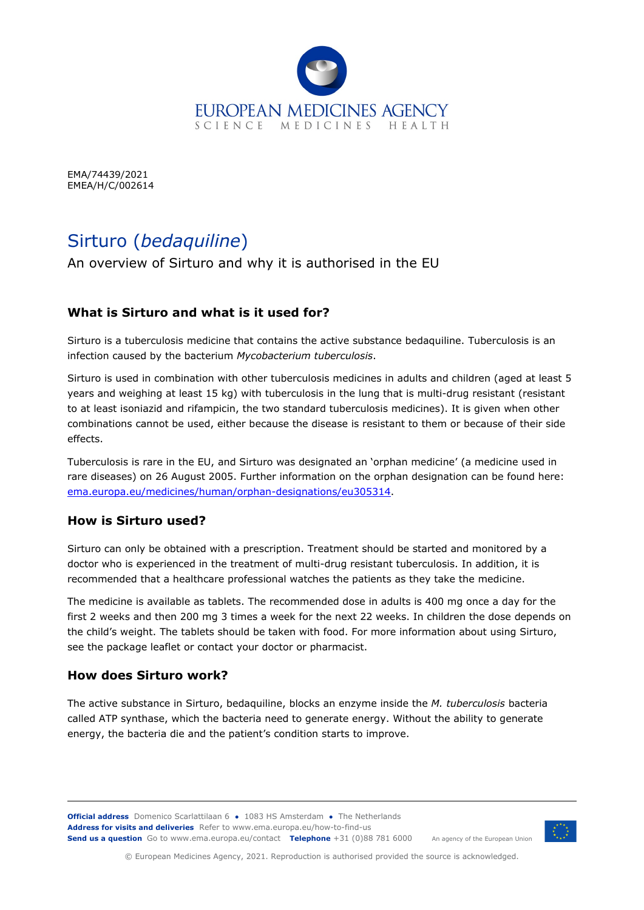

EMA/74439/2021 EMEA/H/C/002614

# Sirturo (*bedaquiline*)

An overview of Sirturo and why it is authorised in the EU

### **What is Sirturo and what is it used for?**

Sirturo is a tuberculosis medicine that contains the active substance bedaquiline. Tuberculosis is an infection caused by the bacterium *Mycobacterium tuberculosis*.

Sirturo is used in combination with other tuberculosis medicines in adults and children (aged at least 5 years and weighing at least 15 kg) with tuberculosis in the lung that is multi-drug resistant (resistant to at least isoniazid and rifampicin, the two standard tuberculosis medicines). It is given when other combinations cannot be used, either because the disease is resistant to them or because of their side effects.

Tuberculosis is rare in the EU, and Sirturo was designated an 'orphan medicine' (a medicine used in rare diseases) on 26 August 2005. Further information on the orphan designation can be found here: [ema.europa.eu/medicines/human/orphan-designations/eu305314.](https://www.ema.europa.eu/en/medicines/human/orphan-designations/eu305314)

#### **How is Sirturo used?**

Sirturo can only be obtained with a prescription. Treatment should be started and monitored by a doctor who is experienced in the treatment of multi-drug resistant tuberculosis. In addition, it is recommended that a healthcare professional watches the patients as they take the medicine.

The medicine is available as tablets. The recommended dose in adults is 400 mg once a day for the first 2 weeks and then 200 mg 3 times a week for the next 22 weeks. In children the dose depends on the child's weight. The tablets should be taken with food. For more information about using Sirturo, see the package leaflet or contact your doctor or pharmacist.

#### **How does Sirturo work?**

The active substance in Sirturo, bedaquiline, blocks an enzyme inside the *M. tuberculosis* bacteria called ATP synthase, which the bacteria need to generate energy. Without the ability to generate energy, the bacteria die and the patient's condition starts to improve.

**Official address** Domenico Scarlattilaan 6 **●** 1083 HS Amsterdam **●** The Netherlands An agency of the European Union **Address for visits and deliveries** Refer to [www.ema.europa.eu/how-to-find-us](http://www.ema.europa.eu/how-to-find-us) **Send us a question** Go t[o www.ema.europa.eu/contact](http://www.ema.europa.eu/contact) **Telephone** +31 (0)88 781 6000



© European Medicines Agency, 2021. Reproduction is authorised provided the source is acknowledged.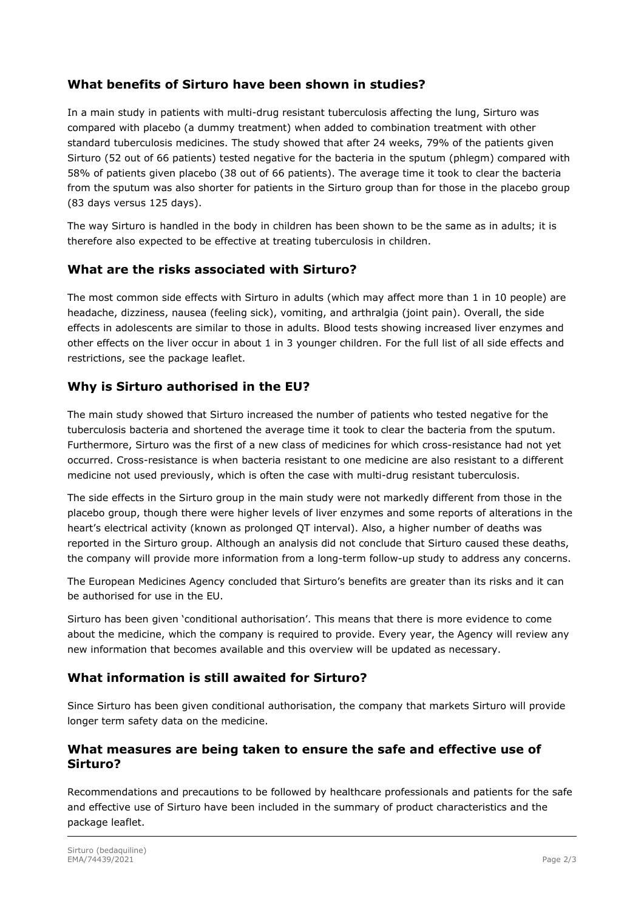## **What benefits of Sirturo have been shown in studies?**

In a main study in patients with multi-drug resistant tuberculosis affecting the lung, Sirturo was compared with placebo (a dummy treatment) when added to combination treatment with other standard tuberculosis medicines. The study showed that after 24 weeks, 79% of the patients given Sirturo (52 out of 66 patients) tested negative for the bacteria in the sputum (phlegm) compared with 58% of patients given placebo (38 out of 66 patients). The average time it took to clear the bacteria from the sputum was also shorter for patients in the Sirturo group than for those in the placebo group (83 days versus 125 days).

The way Sirturo is handled in the body in children has been shown to be the same as in adults; it is therefore also expected to be effective at treating tuberculosis in children.

#### **What are the risks associated with Sirturo?**

The most common side effects with Sirturo in adults (which may affect more than 1 in 10 people) are headache, dizziness, nausea (feeling sick), vomiting, and arthralgia (joint pain). Overall, the side effects in adolescents are similar to those in adults. Blood tests showing increased liver enzymes and other effects on the liver occur in about 1 in 3 younger children. For the full list of all side effects and restrictions, see the package leaflet.

#### **Why is Sirturo authorised in the EU?**

The main study showed that Sirturo increased the number of patients who tested negative for the tuberculosis bacteria and shortened the average time it took to clear the bacteria from the sputum. Furthermore, Sirturo was the first of a new class of medicines for which cross-resistance had not yet occurred. Cross-resistance is when bacteria resistant to one medicine are also resistant to a different medicine not used previously, which is often the case with multi-drug resistant tuberculosis.

The side effects in the Sirturo group in the main study were not markedly different from those in the placebo group, though there were higher levels of liver enzymes and some reports of alterations in the heart's electrical activity (known as prolonged QT interval). Also, a higher number of deaths was reported in the Sirturo group. Although an analysis did not conclude that Sirturo caused these deaths, the company will provide more information from a long-term follow-up study to address any concerns.

The European Medicines Agency concluded that Sirturo's benefits are greater than its risks and it can be authorised for use in the EU.

Sirturo has been given 'conditional authorisation'. This means that there is more evidence to come about the medicine, which the company is required to provide. Every year, the Agency will review any new information that becomes available and this overview will be updated as necessary.

## **What information is still awaited for Sirturo?**

Since Sirturo has been given conditional authorisation, the company that markets Sirturo will provide longer term safety data on the medicine.

#### **What measures are being taken to ensure the safe and effective use of Sirturo?**

Recommendations and precautions to be followed by healthcare professionals and patients for the safe and effective use of Sirturo have been included in the summary of product characteristics and the package leaflet.